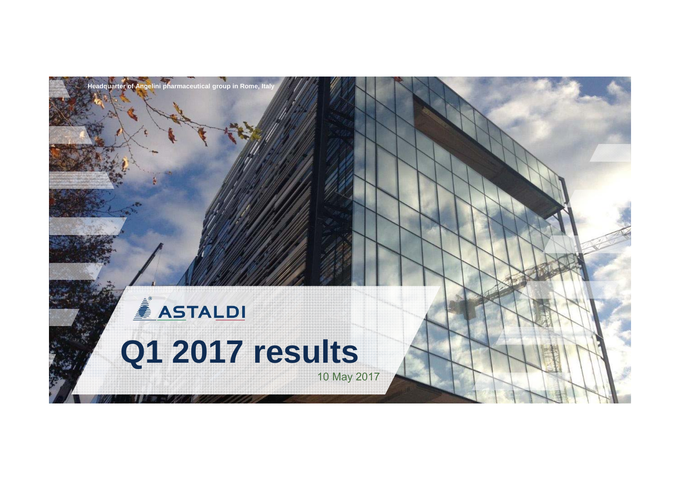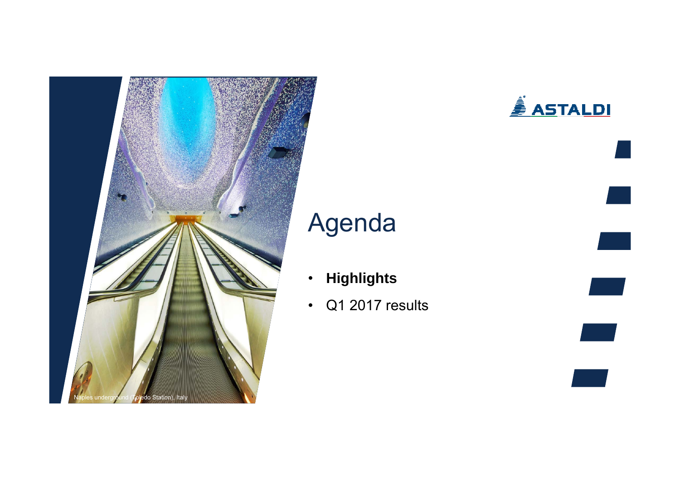

## <u>À ASTALDI</u>

# Agenda

- •**Highlights**
- $\bullet$ Q1 2017 results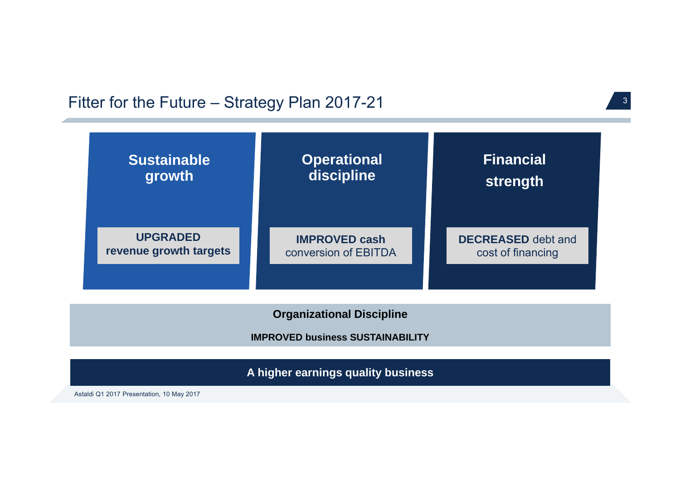### Fitter for the Future – Strategy Plan 2017-21



**A higher earnings quality business**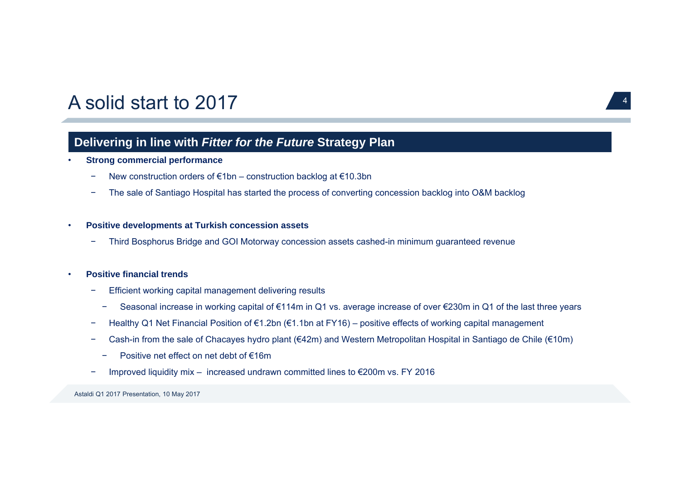### A solid start to 2017 $\sqrt{4}$

### **Delivering in line with** *Fitter for the Future* **Strategy Plan**

#### •**Strong commercial performance**

- −New construction orders of €1bn – construction backlog at €10.3bn
- −The sale of Santiago Hospital has started the process of converting concession backlog into O&M backlog

#### •**Positive developments at Turkish concession assets**

−Third Bosphorus Bridge and GOI Motorway concession assets cashed-in minimum guaranteed revenue

#### •**Positive financial trends**

- − Efficient working capital management delivering results
	- −Seasonal increase in working capital of €114m in Q1 vs. average increase of over €230m in Q1 of the last three years
- Healthy Q1 Net Financial Position of €1.2bn (€1.1bn at FY16) positive effects of working capital management
- Cash-in from the sale of Chacayes hydro plant (€42m) and Western Metropolitan Hospital in Santiago de Chile (€10m)
	- −Positive net effect on net debt of €16m
- −Improved liquidity mix – increased undrawn committed lines to €200m vs. FY 2016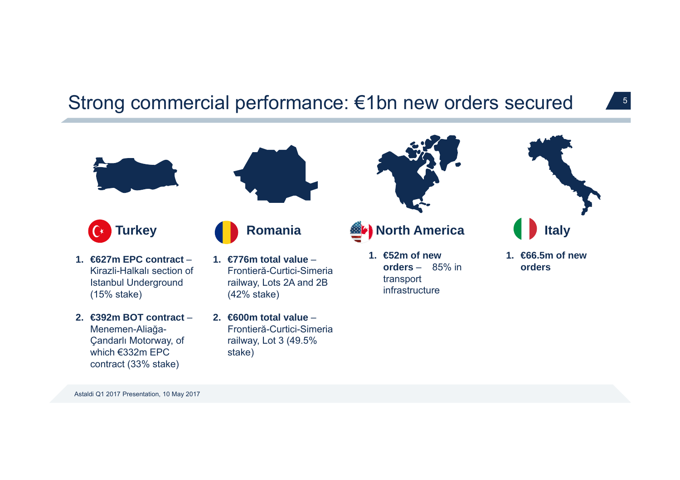## Strong commercial performance: €1bn new orders secured

5





**Turkey**  $\overline{C^*}$ 

- **1. €627m EPC contract** –Kirazli-Halkalı section of Istanbul Underground (15% stake)
- **2. €392m BOT contract** –Menemen-Alia ğa-Çandarlı Motorway, of which €332m EPC contract (33% stake)
- **1. €776m total value** –Frontieră-Curtici-Simeriarailway, Lots 2A and 2B (42% stake)

**Romania**

**2. €600m total value** –Frontieră-Curtici-Simeriarailway, Lot 3 (49.5% stake)



**North America** 

**1. €52m of new orders** – 85% in transport infrastructure



**1. €66.5m of new orders**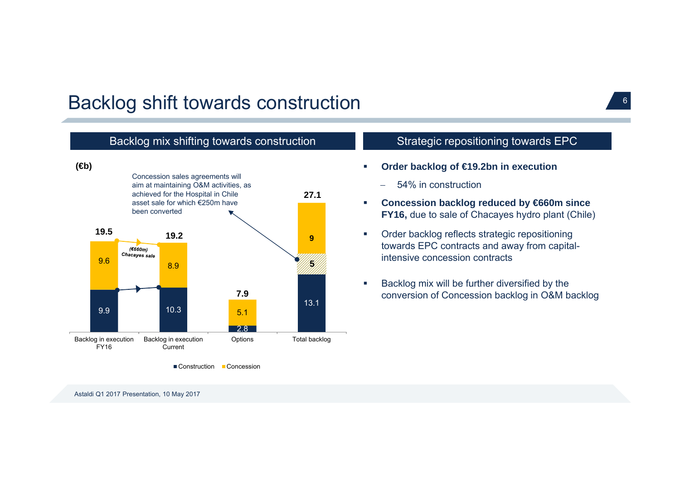## Backlog shift towards construction <sup>6</sup>

### Backlog mix shifting towards construction



### Strategic repositioning towards EPC

- - 54% in construction
- $\mathbf{r}$  **Concession backlog reduced by €660m since FY16,** due to sale of Chacayes hydro plant (Chile)
- $\blacksquare$  Order backlog reflects strategic repositioning towards EPC contracts and away from capitalintensive concession contracts
- Г Backlog mix will be further diversified by the conversion of Concession backlog in O&M backlog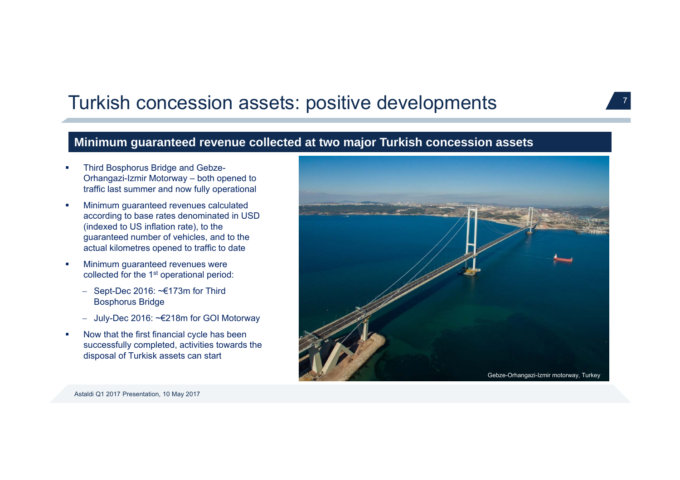## Turkish concession assets: positive developments

### **Minimum guaranteed revenue collected at two major Turkish concession assets**

- П Third Bosphorus Bridge and Gebze-Orhangazi-Izmir Motorway – both opened to traffic last summer and now fully operational
- $\mathcal{L}_{\mathcal{A}}$  Minimum guaranteed revenues calculated according to base rates denominated in USD (indexed to US inflation rate), to the guaranteed number of vehicles, and to the actual kilometres opened to traffic to date
- r. Minimum guaranteed revenues were collected for the 1st operational period:
	- $-$  Sept-Dec 2016:  $\sim \epsilon$ 173m for Third Bosphorus Bridge
	- July-Dec 2016: ~€218m for GOI Motorway
- × Now that the first financial cycle has been successfully completed, activities towards the disposal of Turkisk assets can start



7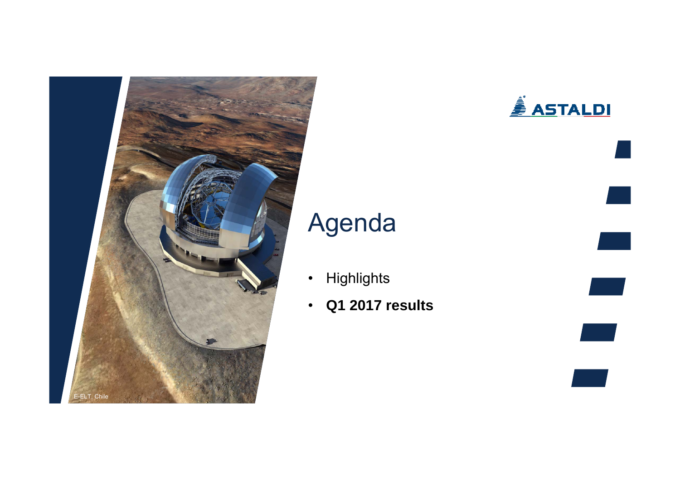

# **ASTALDI**

# Agenda

- •**Highlights**
- $\bullet$ **Q1 2017 results**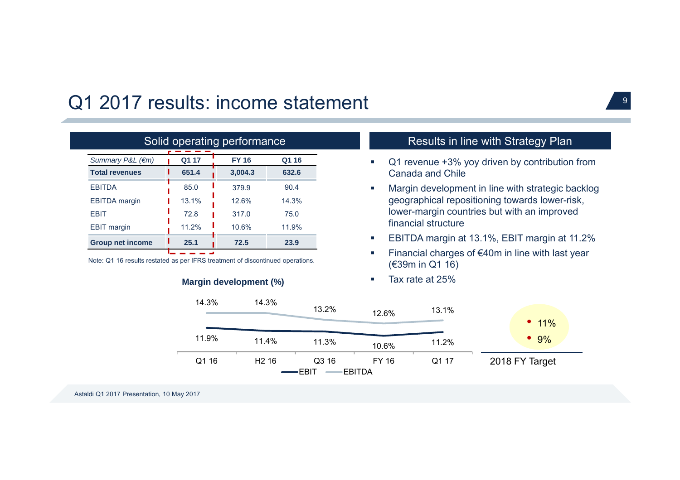## Q1 2017 results: income statement

| Solid operating performance |                                |         |       |  |  |  |  |
|-----------------------------|--------------------------------|---------|-------|--|--|--|--|
| Summary P&L $(\epsilon m)$  | Q1 17<br><b>FY 16</b><br>Q1 16 |         |       |  |  |  |  |
| <b>Total revenues</b>       | 651.4                          | 3,004.3 | 632.6 |  |  |  |  |
| <b>FBITDA</b>               | 85.0                           | 379.9   | 90.4  |  |  |  |  |
| <b>EBITDA</b> margin        | 13.1%                          | 12.6%   | 14.3% |  |  |  |  |
| <b>FBIT</b>                 | 72.8                           | 317.0   | 75.0  |  |  |  |  |
| <b>EBIT margin</b>          | 11.2%                          | 10.6%   | 11.9% |  |  |  |  |
| <b>Group net income</b>     | 25.1                           | 72.5    | 23.9  |  |  |  |  |
|                             |                                |         |       |  |  |  |  |

Note: Q1 16 results restated as per IFRS treatment of discontinued operations.



### Results in line with Strategy Plan

- $\mathcal{L}_{\mathcal{A}}$  Q1 revenue +3% yoy driven by contribution from Canada and Chile
- Г Margin development in line with strategic backlog geographical repositioning towards lower-risk, lower-margin countries but with an improved financial structure
- г EBITDA margin at 13.1%, EBIT margin at 11.2%
- г Financial charges of €40m in line with last year (€39m in Q1 16)
- $\mathcal{L}_{\mathcal{A}}$ Tax rate at 25%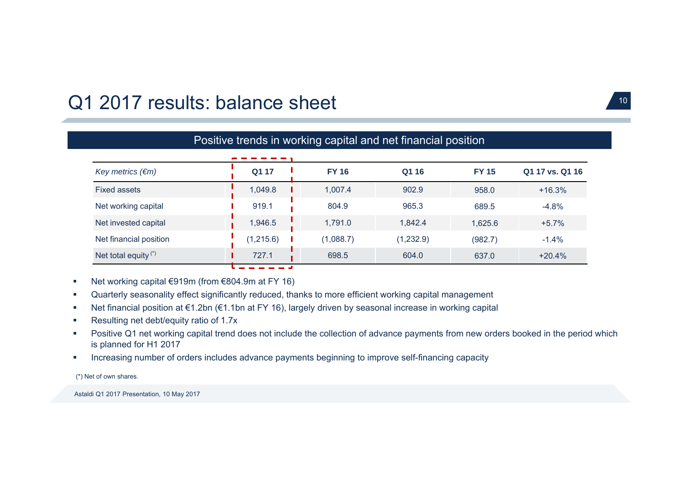## Q1 2017 results: balance sheet 10

| Positive trends in working capital and net financial position |           |              |           |              |                 |  |  |  |
|---------------------------------------------------------------|-----------|--------------|-----------|--------------|-----------------|--|--|--|
|                                                               |           |              |           |              |                 |  |  |  |
| Key metrics $(\epsilon m)$                                    | Q1 17     | <b>FY 16</b> | Q1 16     | <b>FY 15</b> | Q1 17 vs. Q1 16 |  |  |  |
| Fixed assets                                                  | 1,049.8   | 1,007.4      | 902.9     | 958.0        | $+16.3%$        |  |  |  |
| Net working capital                                           | 919.1     | 804.9        | 965.3     | 689.5        | $-4.8%$         |  |  |  |
| Net invested capital                                          | 1,946.5   | 1,791.0      | 1,842.4   | 1,625.6      | $+5.7%$         |  |  |  |
| Net financial position                                        | (1,215.6) | (1,088.7)    | (1,232.9) | (982.7)      | $-1.4%$         |  |  |  |
| Net total equity $(*)$                                        | 727.1     | 698.5        | 604.0     | 637.0        | $+20.4%$        |  |  |  |

- $\mathcal{L}_{\mathcal{A}}$ Net working capital €919m (from €804.9m at FY 16)
- $\mathcal{L}_{\mathcal{A}}$ Quarterly seasonality effect significantly reduced, thanks to more efficient working capital management
- $\mathcal{L}_{\mathcal{A}}$ Net financial position at €1.2bn (€1.1bn at FY 16), largely driven by seasonal increase in working capital
- × Resulting net debt/equity ratio of 1.7x
- $\mathcal{L}_{\mathcal{A}}$  Positive Q1 net working capital trend does not include the collection of advance payments from new orders booked in the period which is planned for H1 2017
- $\mathcal{C}$ Increasing number of orders includes advance payments beginning to improve self-financing capacity

(\*) Net of own shares.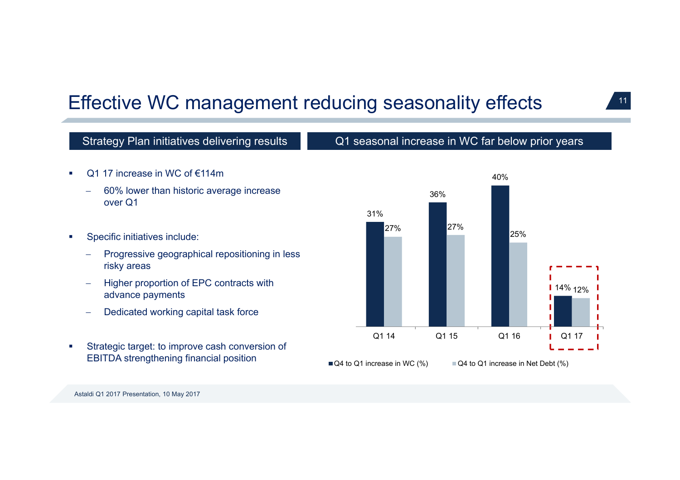## Effective WC management reducing seasonality effects

### Strategy Plan initiatives delivering results Q1 seasonal increase in WC far below prior years

- × Q1 17 increase in WC of €114m
	- 60% lower than historic average increase over Q1
- $\blacksquare$  Specific initiatives include:
	- $\frac{1}{2}$  Progressive geographical repositioning in less risky areas
	- $\equiv$  Higher proportion of EPC contracts with advance payments
	- $\overline{\phantom{a}}$ Dedicated working capital task force
- × Strategic target: to improve cash conversion of EBITDA strengthening financial position

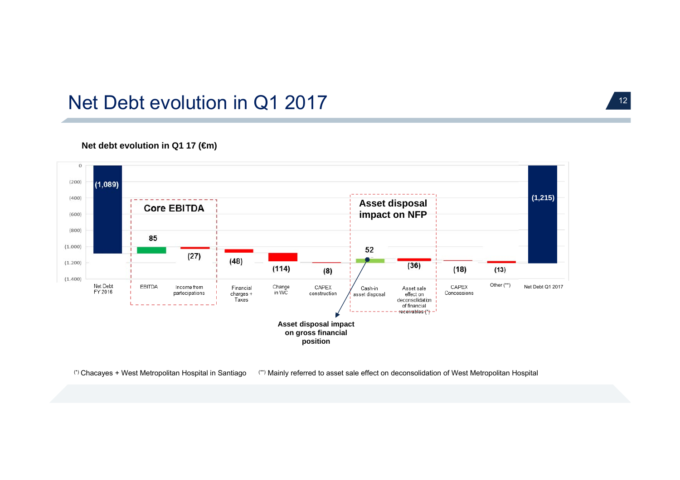### Net Debt evolution in Q1 2017

### **Net debt evolution in Q1 17 (€m)**



(\*) Chacayes + West Metropolitan Hospital in Santiago (\*\*) Mainly referred to asset sale effect on deconsolidation of West Metropolitan Hospital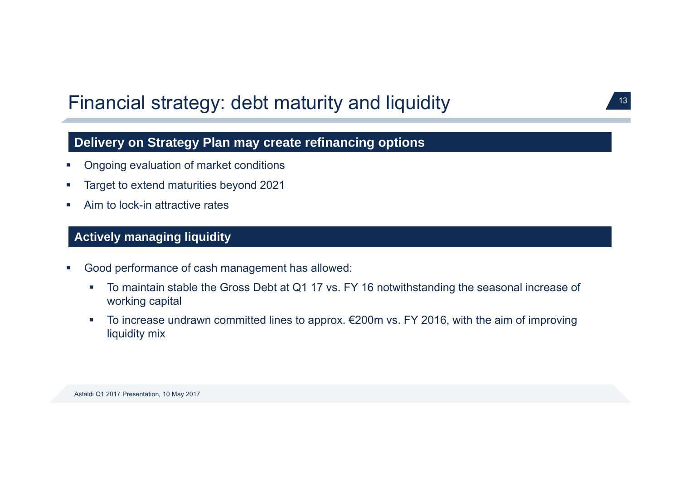## Financial strategy: debt maturity and liquidity **13**

### **Delivery on Strategy Plan may create refinancing options**

- $\mathcal{L}_{\mathcal{A}}$ Ongoing evaluation of market conditions
- $\mathcal{L}_{\mathcal{A}}$ Target to extend maturities beyond 2021
- $\overline{\phantom{a}}$ Aim to lock-in attractive rates

### **Actively managing liquidity**

- $\mathcal{L}_{\mathcal{A}}$  Good performance of cash management has allowed:
	- $\mathcal{L}_{\mathcal{A}}$  To maintain stable the Gross Debt at Q1 17 vs. FY 16 notwithstanding the seasonal increase of working capital
	- $\mathcal{L}_{\mathcal{A}}$  To increase undrawn committed lines to approx. €200m vs. FY 2016, with the aim of improving liquidity mix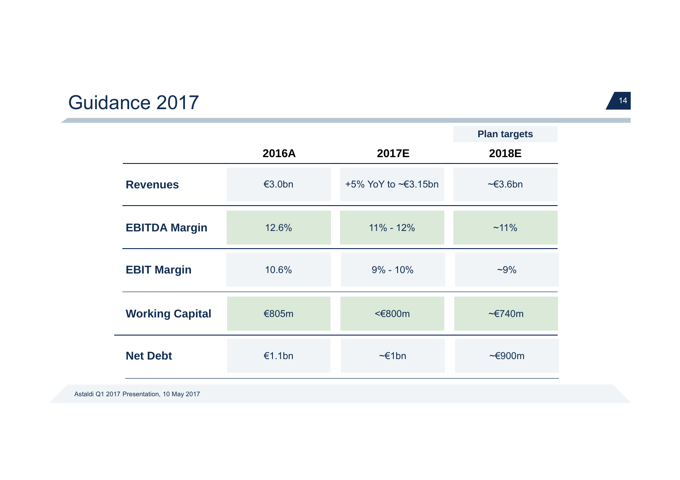#### Guidance 2017 $\sqrt{14}$

|                        |                  |                              | <b>Plan targets</b>  |
|------------------------|------------------|------------------------------|----------------------|
|                        | 2016A            | 2017E                        | 2018E                |
| <b>Revenues</b>        | $\epsilon$ 3.0bn | $+5\%$ YoY to $\leq 3.15$ bn | $\approx 3.6$ bn     |
| <b>EBITDA Margin</b>   | 12.6%            | $11\% - 12\%$                | $~11\%$              |
| <b>EBIT Margin</b>     | 10.6%            | $9\% - 10\%$                 | $-9%$                |
| <b>Working Capital</b> | €805m            | <€800m                       | $\approx$ $E740m$    |
| <b>Net Debt</b>        | €1.1bn           | $\sim \epsilon$ 1bn          | $\sim \epsilon$ 900m |